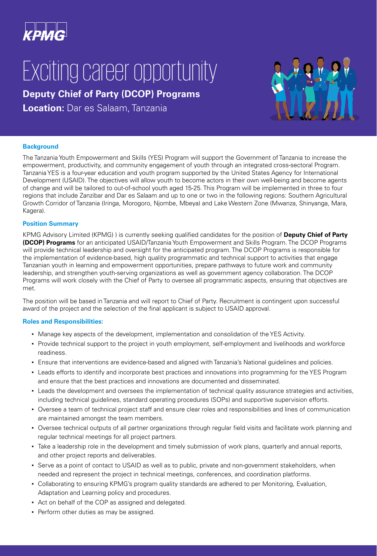

# Exciting career opportunity

# **Deputy Chief of Party (DCOP) Programs**

**Location:** Dar es Salaam, Tanzania



## **Background**

The Tanzania Youth Empowerment and Skills (YES) Program will support the Government of Tanzania to increase the empowerment, productivity, and community engagement of youth through an integrated cross-sectoral Program. Tanzania YES is a four-year education and youth program supported by the United States Agency for International Development (USAID). The objectives will allow youth to become actors in their own well-being and become agents of change and will be tailored to out-of-school youth aged 15-25. This Program will be implemented in three to four regions that include Zanzibar and Dar es Salaam and up to one or two in the following regions: Southern Agricultural Growth Corridor of Tanzania (Iringa, Morogoro, Njombe, Mbeya) and Lake Western Zone (Mwanza, Shinyanga, Mara, Kagera).

#### **Position Summary**

KPMG Advisory Limited (KPMG) ) is currently seeking qualified candidates for the position of **Deputy Chief of Party (DCOP) Programs** for an anticipated USAID/Tanzania Youth Empowerment and Skills Program. The DCOP Programs will provide technical leadership and oversight for the anticipated program. The DCOP Programs is responsible for the implementation of evidence-based, high quality programmatic and technical support to activities that engage Tanzanian youth in learning and empowerment opportunities, prepare pathways to future work and community leadership, and strengthen youth-serving organizations as well as government agency collaboration. The DCOP Programs will work closely with the Chief of Party to oversee all programmatic aspects, ensuring that objectives are met.

The position will be based in Tanzania and will report to Chief of Party. Recruitment is contingent upon successful award of the project and the selection of the final applicant is subject to USAID approval.

## **Roles and Responsibilities:**

- Manage key aspects of the development, implementation and consolidation of the YES Activity.
- Provide technical support to the project in youth employment, self-employment and livelihoods and workforce readiness.
- Ensure that interventions are evidence-based and aligned with Tanzania's National guidelines and policies.
- Leads efforts to identify and incorporate best practices and innovations into programming for the YES Program and ensure that the best practices and innovations are documented and disseminated.
- Leads the development and oversees the implementation of technical quality assurance strategies and activities, including technical guidelines, standard operating procedures (SOPs) and supportive supervision efforts.
- Oversee a team of technical project staff and ensure clear roles and responsibilities and lines of communication are maintained amongst the team members.
- Oversee technical outputs of all partner organizations through regular field visits and facilitate work planning and regular technical meetings for all project partners.
- Take a leadership role in the development and timely submission of work plans, quarterly and annual reports, and other project reports and deliverables.
- Serve as a point of contact to USAID as well as to public, private and non-government stakeholders, when needed and represent the project in technical meetings, conferences, and coordination platforms.
- Collaborating to ensuring KPMG's program quality standards are adhered to per Monitoring, Evaluation, Adaptation and Learning policy and procedures.
- Act on behalf of the COP as assigned and delegated.
- **Perform other duties as may be assigned.**